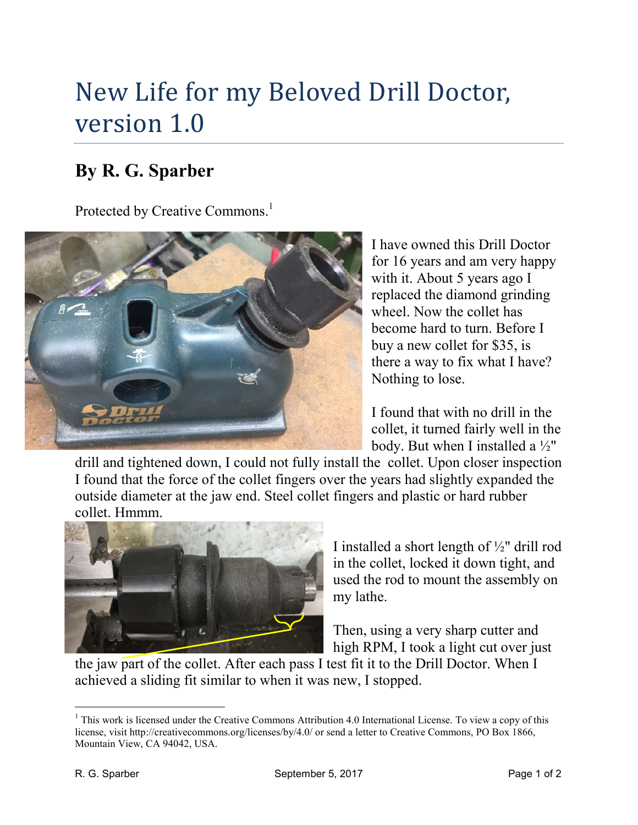## New Life for my Beloved Drill Doctor, version 1.0

## **By R. G. Sparber**

Protected by Creative Commons.<sup>1</sup>



I have owned this Drill Doctor for 16 years and am very happy with it. About 5 years ago I replaced the diamond grinding wheel. Now the collet has become hard to turn. Before I buy a new collet for \$35, is there a way to fix what I have? Nothing to lose.

I found that with no drill in the collet, it turned fairly well in the body. But when I installed a  $\frac{1}{2}$ "

drill and tightened down, I could not fully install the collet. Upon closer inspection I found that the force of the collet fingers over the years had slightly expanded the outside diameter at the jaw end. Steel collet fingers and plastic or hard rubber collet. Hmmm.



I installed a short length of ½" drill rod in the collet, locked it down tight, and used the rod to mount the assembly on my lathe.

Then, using a very sharp cutter and high RPM, I took a light cut over just

the jaw part of the collet. After each pass I test fit it to the Drill Doctor. When I achieved a sliding fit similar to when it was new, I stopped.

<sup>-</sup><sup>1</sup> This work is licensed under the Creative Commons Attribution 4.0 International License. To view a copy of this license, visit http://creativecommons.org/licenses/by/4.0/ or send a letter to Creative Commons, PO Box 1866, Mountain View, CA 94042, USA.